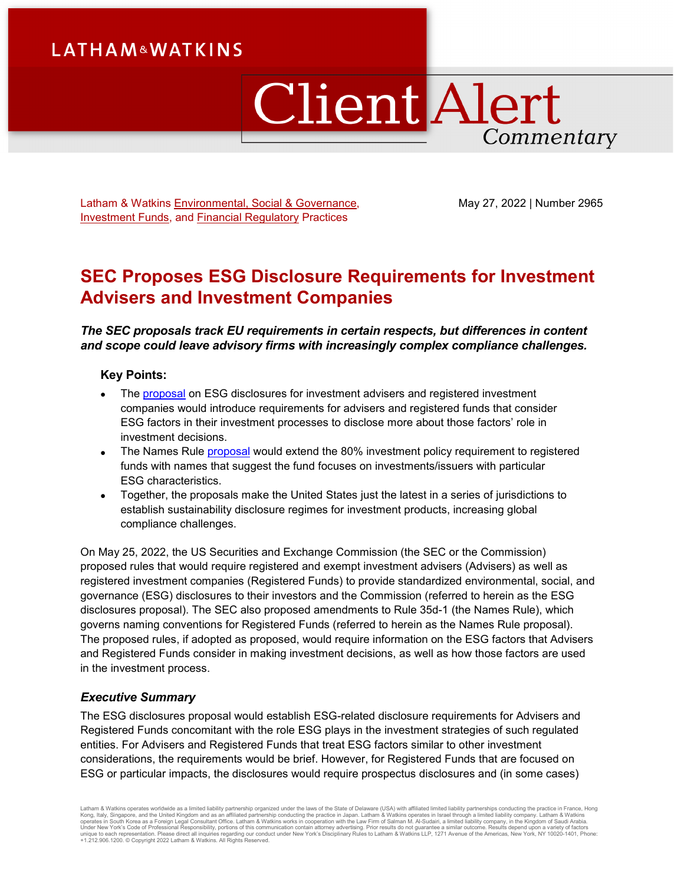# **LATHAM&WATKINS**

# ClientAlert Commentary

Latham & Watkins [Environmental, Social & Governance,](https://www.lw.com/practices/EnvironmentalSocialGovernance) [Investment Funds,](https://www.lw.com/practices/investmentfunds) and [Financial Regulatory](https://www.lw.com/practices/financialregulatory) Practices

May 27, 2022 | Number 2965

## **SEC Proposes ESG Disclosure Requirements for Investment Advisers and Investment Companies**

*The SEC proposals track EU requirements in certain respects, but differences in content and scope could leave advisory firms with increasingly complex compliance challenges.*

## **Key Points:**

- The [proposal](https://www.sec.gov/rules/proposed/2022/ia-6034.pdf) on ESG disclosures for investment advisers and registered investment companies would introduce requirements for advisers and registered funds that consider ESG factors in their investment processes to disclose more about those factors' role in investment decisions.
- The Names Rule [proposal](https://www.sec.gov/rules/proposed/2022/ic-34593.pdf?utm_medium=email&utm_source=govdelivery) would extend the 80% investment policy requirement to registered funds with names that suggest the fund focuses on investments/issuers with particular ESG characteristics.
- Together, the proposals make the United States just the latest in a series of jurisdictions to establish sustainability disclosure regimes for investment products, increasing global compliance challenges.

On May 25, 2022, the US Securities and Exchange Commission (the SEC or the Commission) proposed rules that would require registered and exempt investment advisers (Advisers) as well as registered investment companies (Registered Funds) to provide standardized environmental, social, and governance (ESG) disclosures to their investors and the Commission (referred to herein as the ESG disclosures proposal). The SEC also proposed amendments to Rule 35d-1 (the Names Rule), which governs naming conventions for Registered Funds (referred to herein as the Names Rule proposal). The proposed rules, if adopted as proposed, would require information on the ESG factors that Advisers and Registered Funds consider in making investment decisions, as well as how those factors are used in the investment process.

## *Executive Summary*

The ESG disclosures proposal would establish ESG-related disclosure requirements for Advisers and Registered Funds concomitant with the role ESG plays in the investment strategies of such regulated entities. For Advisers and Registered Funds that treat ESG factors similar to other investment considerations, the requirements would be brief. However, for Registered Funds that are focused on ESG or particular impacts, the disclosures would require prospectus disclosures and (in some cases)

Latham & Watkins operates worldwide as a limited liability partnership organized under the laws of the State of Delaware (USA) with affiliated limited liability partnerships conducting the practice in France, Hong Kong, Italy, Singapore, and the United Kingdom and as an affiliated partnership conducting the practice in Japan. Latham & Watkins operates in Israel through a limited liability company. Latham & Watkins<br>operates in South +1.212.906.1200. © Copyright 2022 Latham & Watkins. All Rights Reserved.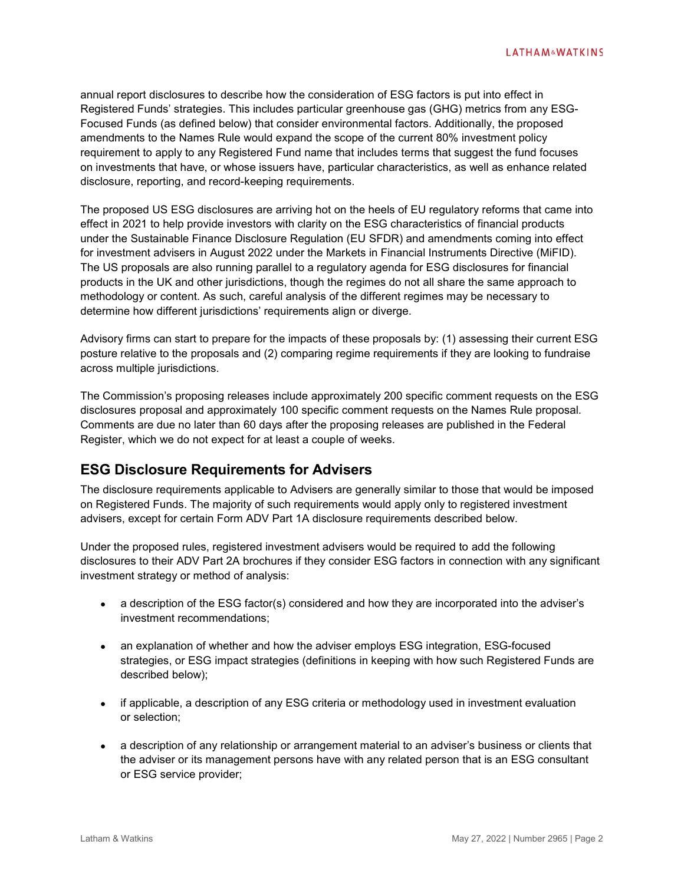annual report disclosures to describe how the consideration of ESG factors is put into effect in Registered Funds' strategies. This includes particular greenhouse gas (GHG) metrics from any ESG-Focused Funds (as defined below) that consider environmental factors. Additionally, the proposed amendments to the Names Rule would expand the scope of the current 80% investment policy requirement to apply to any Registered Fund name that includes terms that suggest the fund focuses on investments that have, or whose issuers have, particular characteristics, as well as enhance related disclosure, reporting, and record-keeping requirements.

The proposed US ESG disclosures are arriving hot on the heels of EU regulatory reforms that came into effect in 2021 to help provide investors with clarity on the ESG characteristics of financial products under the Sustainable Finance Disclosure Regulation (EU SFDR) and amendments coming into effect for investment advisers in August 2022 under the Markets in Financial Instruments Directive (MiFID). The US proposals are also running parallel to a regulatory agenda for ESG disclosures for financial products in the UK and other jurisdictions, though the regimes do not all share the same approach to methodology or content. As such, careful analysis of the different regimes may be necessary to determine how different jurisdictions' requirements align or diverge.

Advisory firms can start to prepare for the impacts of these proposals by: (1) assessing their current ESG posture relative to the proposals and (2) comparing regime requirements if they are looking to fundraise across multiple jurisdictions.

The Commission's proposing releases include approximately 200 specific comment requests on the ESG disclosures proposal and approximately 100 specific comment requests on the Names Rule proposal. Comments are due no later than 60 days after the proposing releases are published in the Federal Register, which we do not expect for at least a couple of weeks.

## **ESG Disclosure Requirements for Advisers**

The disclosure requirements applicable to Advisers are generally similar to those that would be imposed on Registered Funds. The majority of such requirements would apply only to registered investment advisers, except for certain Form ADV Part 1A disclosure requirements described below.

Under the proposed rules, registered investment advisers would be required to add the following disclosures to their ADV Part 2A brochures if they consider ESG factors in connection with any significant investment strategy or method of analysis:

- a description of the ESG factor(s) considered and how they are incorporated into the adviser's investment recommendations;
- an explanation of whether and how the adviser employs ESG integration, ESG-focused strategies, or ESG impact strategies (definitions in keeping with how such Registered Funds are described below);
- if applicable, a description of any ESG criteria or methodology used in investment evaluation or selection;
- a description of any relationship or arrangement material to an adviser's business or clients that the adviser or its management persons have with any related person that is an ESG consultant or ESG service provider;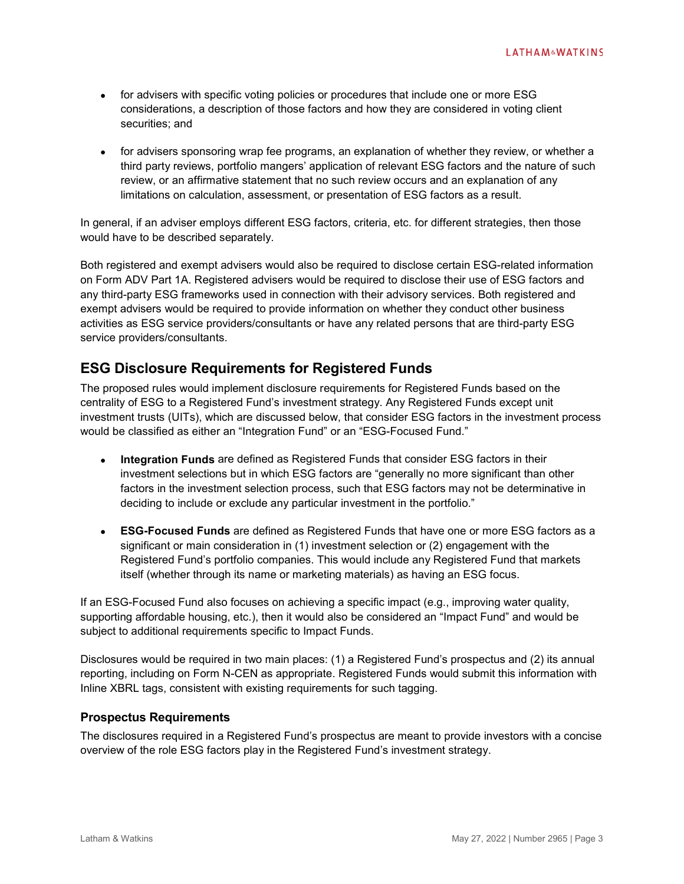- for advisers with specific voting policies or procedures that include one or more ESG considerations, a description of those factors and how they are considered in voting client securities; and
- for advisers sponsoring wrap fee programs, an explanation of whether they review, or whether a third party reviews, portfolio mangers' application of relevant ESG factors and the nature of such review, or an affirmative statement that no such review occurs and an explanation of any limitations on calculation, assessment, or presentation of ESG factors as a result.

In general, if an adviser employs different ESG factors, criteria, etc. for different strategies, then those would have to be described separately.

Both registered and exempt advisers would also be required to disclose certain ESG-related information on Form ADV Part 1A. Registered advisers would be required to disclose their use of ESG factors and any third-party ESG frameworks used in connection with their advisory services. Both registered and exempt advisers would be required to provide information on whether they conduct other business activities as ESG service providers/consultants or have any related persons that are third-party ESG service providers/consultants.

## **ESG Disclosure Requirements for Registered Funds**

The proposed rules would implement disclosure requirements for Registered Funds based on the centrality of ESG to a Registered Fund's investment strategy. Any Registered Funds except unit investment trusts (UITs), which are discussed below, that consider ESG factors in the investment process would be classified as either an "Integration Fund" or an "ESG-Focused Fund."

- **Integration Funds** are defined as Registered Funds that consider ESG factors in their investment selections but in which ESG factors are "generally no more significant than other factors in the investment selection process, such that ESG factors may not be determinative in deciding to include or exclude any particular investment in the portfolio."
- **ESG-Focused Funds** are defined as Registered Funds that have one or more ESG factors as a significant or main consideration in (1) investment selection or (2) engagement with the Registered Fund's portfolio companies. This would include any Registered Fund that markets itself (whether through its name or marketing materials) as having an ESG focus.

If an ESG-Focused Fund also focuses on achieving a specific impact (e.g., improving water quality, supporting affordable housing, etc.), then it would also be considered an "Impact Fund" and would be subject to additional requirements specific to Impact Funds.

Disclosures would be required in two main places: (1) a Registered Fund's prospectus and (2) its annual reporting, including on Form N-CEN as appropriate. Registered Funds would submit this information with Inline XBRL tags, consistent with existing requirements for such tagging.

## **Prospectus Requirements**

The disclosures required in a Registered Fund's prospectus are meant to provide investors with a concise overview of the role ESG factors play in the Registered Fund's investment strategy.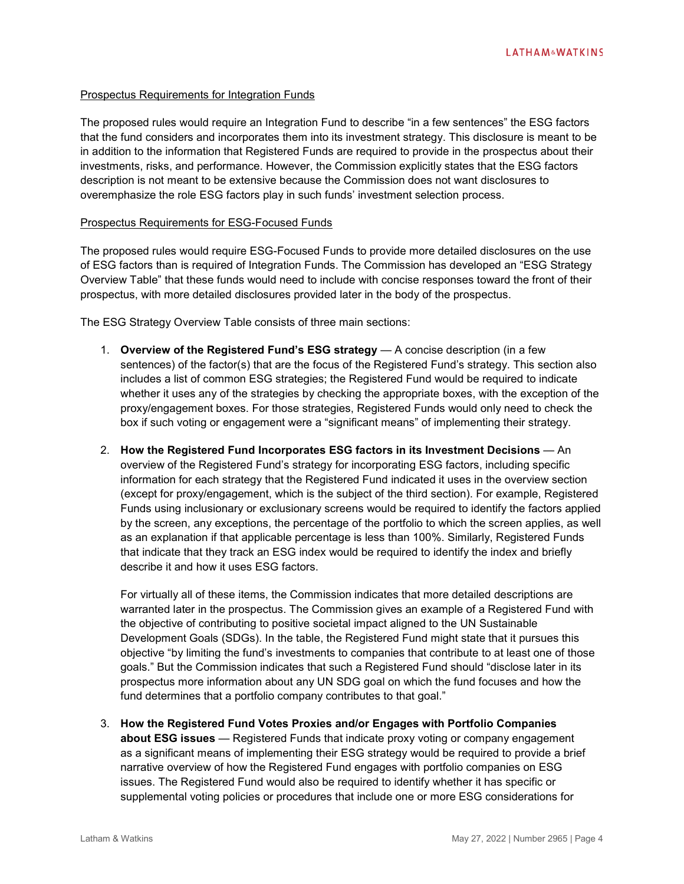## Prospectus Requirements for Integration Funds

The proposed rules would require an Integration Fund to describe "in a few sentences" the ESG factors that the fund considers and incorporates them into its investment strategy. This disclosure is meant to be in addition to the information that Registered Funds are required to provide in the prospectus about their investments, risks, and performance. However, the Commission explicitly states that the ESG factors description is not meant to be extensive because the Commission does not want disclosures to overemphasize the role ESG factors play in such funds' investment selection process.

#### Prospectus Requirements for ESG-Focused Funds

The proposed rules would require ESG-Focused Funds to provide more detailed disclosures on the use of ESG factors than is required of Integration Funds. The Commission has developed an "ESG Strategy Overview Table" that these funds would need to include with concise responses toward the front of their prospectus, with more detailed disclosures provided later in the body of the prospectus.

The ESG Strategy Overview Table consists of three main sections:

- 1. **Overview of the Registered Fund's ESG strategy** A concise description (in a few sentences) of the factor(s) that are the focus of the Registered Fund's strategy. This section also includes a list of common ESG strategies; the Registered Fund would be required to indicate whether it uses any of the strategies by checking the appropriate boxes, with the exception of the proxy/engagement boxes. For those strategies, Registered Funds would only need to check the box if such voting or engagement were a "significant means" of implementing their strategy.
- 2. **How the Registered Fund Incorporates ESG factors in its Investment Decisions** An overview of the Registered Fund's strategy for incorporating ESG factors, including specific information for each strategy that the Registered Fund indicated it uses in the overview section (except for proxy/engagement, which is the subject of the third section). For example, Registered Funds using inclusionary or exclusionary screens would be required to identify the factors applied by the screen, any exceptions, the percentage of the portfolio to which the screen applies, as well as an explanation if that applicable percentage is less than 100%. Similarly, Registered Funds that indicate that they track an ESG index would be required to identify the index and briefly describe it and how it uses ESG factors.

For virtually all of these items, the Commission indicates that more detailed descriptions are warranted later in the prospectus. The Commission gives an example of a Registered Fund with the objective of contributing to positive societal impact aligned to the UN Sustainable Development Goals (SDGs). In the table, the Registered Fund might state that it pursues this objective "by limiting the fund's investments to companies that contribute to at least one of those goals." But the Commission indicates that such a Registered Fund should "disclose later in its prospectus more information about any UN SDG goal on which the fund focuses and how the fund determines that a portfolio company contributes to that goal."

3. **How the Registered Fund Votes Proxies and/or Engages with Portfolio Companies about ESG issues** — Registered Funds that indicate proxy voting or company engagement as a significant means of implementing their ESG strategy would be required to provide a brief narrative overview of how the Registered Fund engages with portfolio companies on ESG issues. The Registered Fund would also be required to identify whether it has specific or supplemental voting policies or procedures that include one or more ESG considerations for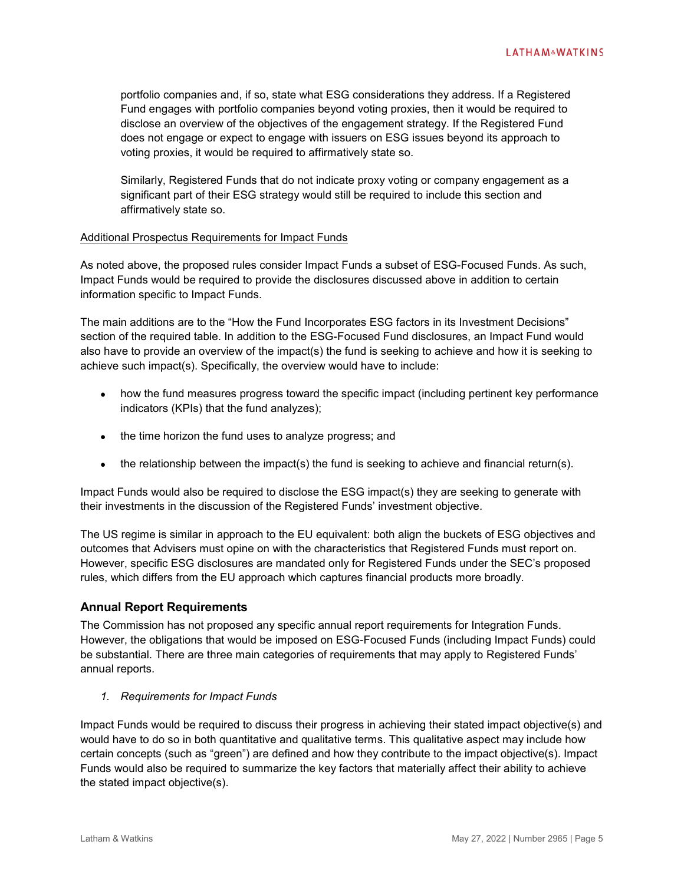portfolio companies and, if so, state what ESG considerations they address. If a Registered Fund engages with portfolio companies beyond voting proxies, then it would be required to disclose an overview of the objectives of the engagement strategy. If the Registered Fund does not engage or expect to engage with issuers on ESG issues beyond its approach to voting proxies, it would be required to affirmatively state so.

Similarly, Registered Funds that do not indicate proxy voting or company engagement as a significant part of their ESG strategy would still be required to include this section and affirmatively state so.

## Additional Prospectus Requirements for Impact Funds

As noted above, the proposed rules consider Impact Funds a subset of ESG-Focused Funds. As such, Impact Funds would be required to provide the disclosures discussed above in addition to certain information specific to Impact Funds.

The main additions are to the "How the Fund Incorporates ESG factors in its Investment Decisions" section of the required table. In addition to the ESG-Focused Fund disclosures, an Impact Fund would also have to provide an overview of the impact(s) the fund is seeking to achieve and how it is seeking to achieve such impact(s). Specifically, the overview would have to include:

- how the fund measures progress toward the specific impact (including pertinent key performance indicators (KPIs) that the fund analyzes);
- the time horizon the fund uses to analyze progress; and
- $\bullet$  the relationship between the impact(s) the fund is seeking to achieve and financial return(s).

Impact Funds would also be required to disclose the ESG impact(s) they are seeking to generate with their investments in the discussion of the Registered Funds' investment objective.

The US regime is similar in approach to the EU equivalent: both align the buckets of ESG objectives and outcomes that Advisers must opine on with the characteristics that Registered Funds must report on. However, specific ESG disclosures are mandated only for Registered Funds under the SEC's proposed rules, which differs from the EU approach which captures financial products more broadly.

## **Annual Report Requirements**

The Commission has not proposed any specific annual report requirements for Integration Funds. However, the obligations that would be imposed on ESG-Focused Funds (including Impact Funds) could be substantial. There are three main categories of requirements that may apply to Registered Funds' annual reports.

#### *1. Requirements for Impact Funds*

Impact Funds would be required to discuss their progress in achieving their stated impact objective(s) and would have to do so in both quantitative and qualitative terms. This qualitative aspect may include how certain concepts (such as "green") are defined and how they contribute to the impact objective(s). Impact Funds would also be required to summarize the key factors that materially affect their ability to achieve the stated impact objective(s).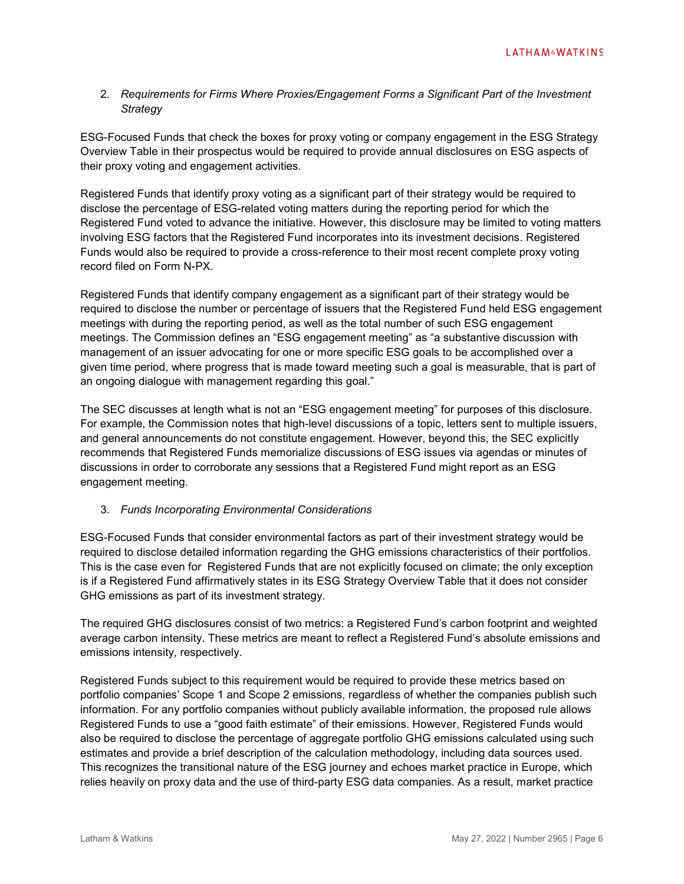## 2. *Requirements for Firms Where Proxies/Engagement Forms a Significant Part of the Investment Strategy*

ESG-Focused Funds that check the boxes for proxy voting or company engagement in the ESG Strategy Overview Table in their prospectus would be required to provide annual disclosures on ESG aspects of their proxy voting and engagement activities.

Registered Funds that identify proxy voting as a significant part of their strategy would be required to disclose the percentage of ESG-related voting matters during the reporting period for which the Registered Fund voted to advance the initiative. However, this disclosure may be limited to voting matters involving ESG factors that the Registered Fund incorporates into its investment decisions. Registered Funds would also be required to provide a cross-reference to their most recent complete proxy voting record filed on Form N-PX.

Registered Funds that identify company engagement as a significant part of their strategy would be required to disclose the number or percentage of issuers that the Registered Fund held ESG engagement meetings with during the reporting period, as well as the total number of such ESG engagement meetings. The Commission defines an "ESG engagement meeting" as "a substantive discussion with management of an issuer advocating for one or more specific ESG goals to be accomplished over a given time period, where progress that is made toward meeting such a goal is measurable, that is part of an ongoing dialogue with management regarding this goal."

The SEC discusses at length what is not an "ESG engagement meeting" for purposes of this disclosure. For example, the Commission notes that high-level discussions of a topic, letters sent to multiple issuers, and general announcements do not constitute engagement. However, beyond this, the SEC explicitly recommends that Registered Funds memorialize discussions of ESG issues via agendas or minutes of discussions in order to corroborate any sessions that a Registered Fund might report as an ESG engagement meeting.

## 3. *Funds Incorporating Environmental Considerations*

ESG-Focused Funds that consider environmental factors as part of their investment strategy would be required to disclose detailed information regarding the GHG emissions characteristics of their portfolios. This is the case even for Registered Funds that are not explicitly focused on climate; the only exception is if a Registered Fund affirmatively states in its ESG Strategy Overview Table that it does not consider GHG emissions as part of its investment strategy.

The required GHG disclosures consist of two metrics: a Registered Fund's carbon footprint and weighted average carbon intensity. These metrics are meant to reflect a Registered Fund's absolute emissions and emissions intensity, respectively.

Registered Funds subject to this requirement would be required to provide these metrics based on portfolio companies' Scope 1 and Scope 2 emissions, regardless of whether the companies publish such information. For any portfolio companies without publicly available information, the proposed rule allows Registered Funds to use a "good faith estimate" of their emissions. However, Registered Funds would also be required to disclose the percentage of aggregate portfolio GHG emissions calculated using such estimates and provide a brief description of the calculation methodology, including data sources used. This recognizes the transitional nature of the ESG journey and echoes market practice in Europe, which relies heavily on proxy data and the use of third-party ESG data companies. As a result, market practice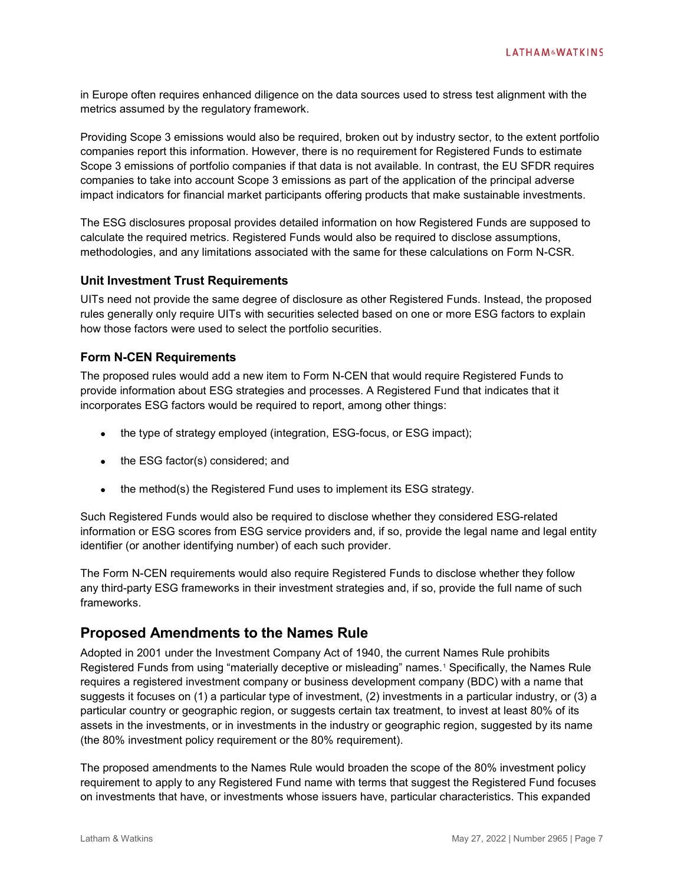in Europe often requires enhanced diligence on the data sources used to stress test alignment with the metrics assumed by the regulatory framework.

Providing Scope 3 emissions would also be required, broken out by industry sector, to the extent portfolio companies report this information. However, there is no requirement for Registered Funds to estimate Scope 3 emissions of portfolio companies if that data is not available. In contrast, the EU SFDR requires companies to take into account Scope 3 emissions as part of the application of the principal adverse impact indicators for financial market participants offering products that make sustainable investments.

The ESG disclosures proposal provides detailed information on how Registered Funds are supposed to calculate the required metrics. Registered Funds would also be required to disclose assumptions, methodologies, and any limitations associated with the same for these calculations on Form N-CSR.

## **Unit Investment Trust Requirements**

UITs need not provide the same degree of disclosure as other Registered Funds. Instead, the proposed rules generally only require UITs with securities selected based on one or more ESG factors to explain how those factors were used to select the portfolio securities.

## **Form N-CEN Requirements**

The proposed rules would add a new item to Form N-CEN that would require Registered Funds to provide information about ESG strategies and processes. A Registered Fund that indicates that it incorporates ESG factors would be required to report, among other things:

- the type of strategy employed (integration, ESG-focus, or ESG impact);
- the ESG factor(s) considered; and
- the method(s) the Registered Fund uses to implement its ESG strategy.

Such Registered Funds would also be required to disclose whether they considered ESG-related information or ESG scores from ESG service providers and, if so, provide the legal name and legal entity identifier (or another identifying number) of each such provider.

The Form N-CEN requirements would also require Registered Funds to disclose whether they follow any third-party ESG frameworks in their investment strategies and, if so, provide the full name of such frameworks.

## **Proposed Amendments to the Names Rule**

Adopted in 2001 under the Investment Company Act of 1940, the current Names Rule prohibits Registered Funds from using "materially deceptive or misleading" names.<sup>[1](#page-12-0)</sup> Specifically, the Names Rule requires a registered investment company or business development company (BDC) with a name that suggests it focuses on (1) a particular type of investment, (2) investments in a particular industry, or (3) a particular country or geographic region, or suggests certain tax treatment, to invest at least 80% of its assets in the investments, or in investments in the industry or geographic region, suggested by its name (the 80% investment policy requirement or the 80% requirement).

The proposed amendments to the Names Rule would broaden the scope of the 80% investment policy requirement to apply to any Registered Fund name with terms that suggest the Registered Fund focuses on investments that have, or investments whose issuers have, particular characteristics. This expanded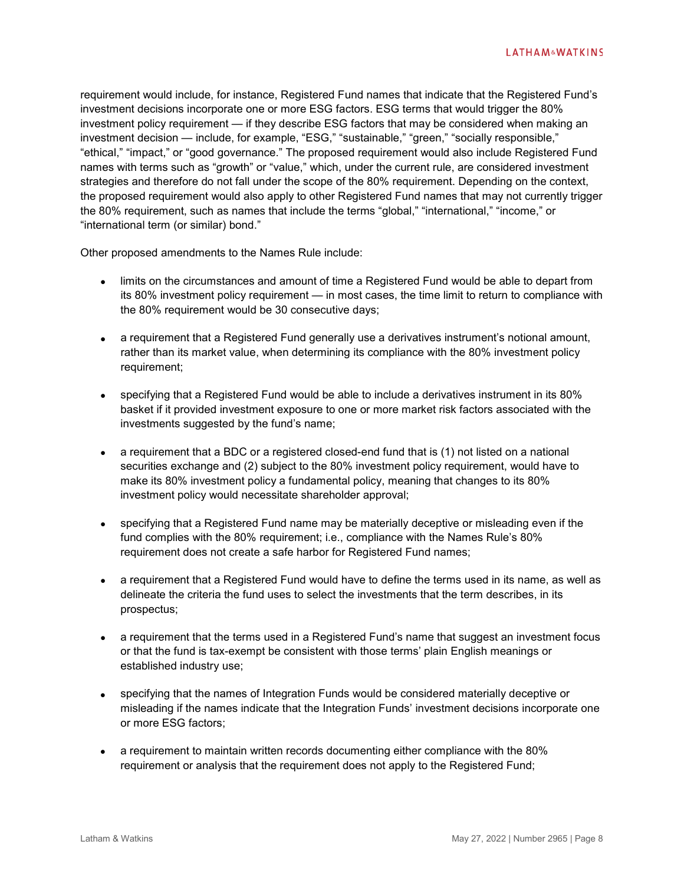requirement would include, for instance, Registered Fund names that indicate that the Registered Fund's investment decisions incorporate one or more ESG factors. ESG terms that would trigger the 80% investment policy requirement — if they describe ESG factors that may be considered when making an investment decision — include, for example, "ESG," "sustainable," "green," "socially responsible," "ethical," "impact," or "good governance." The proposed requirement would also include Registered Fund names with terms such as "growth" or "value," which, under the current rule, are considered investment strategies and therefore do not fall under the scope of the 80% requirement. Depending on the context, the proposed requirement would also apply to other Registered Fund names that may not currently trigger the 80% requirement, such as names that include the terms "global," "international," "income," or "international term (or similar) bond."

Other proposed amendments to the Names Rule include:

- limits on the circumstances and amount of time a Registered Fund would be able to depart from its 80% investment policy requirement — in most cases, the time limit to return to compliance with the 80% requirement would be 30 consecutive days;
- a requirement that a Registered Fund generally use a derivatives instrument's notional amount, rather than its market value, when determining its compliance with the 80% investment policy requirement;
- specifying that a Registered Fund would be able to include a derivatives instrument in its 80% basket if it provided investment exposure to one or more market risk factors associated with the investments suggested by the fund's name;
- a requirement that a BDC or a registered closed-end fund that is (1) not listed on a national securities exchange and (2) subject to the 80% investment policy requirement, would have to make its 80% investment policy a fundamental policy, meaning that changes to its 80% investment policy would necessitate shareholder approval;
- specifying that a Registered Fund name may be materially deceptive or misleading even if the fund complies with the 80% requirement; i.e., compliance with the Names Rule's 80% requirement does not create a safe harbor for Registered Fund names;
- a requirement that a Registered Fund would have to define the terms used in its name, as well as delineate the criteria the fund uses to select the investments that the term describes, in its prospectus;
- a requirement that the terms used in a Registered Fund's name that suggest an investment focus or that the fund is tax-exempt be consistent with those terms' plain English meanings or established industry use;
- specifying that the names of Integration Funds would be considered materially deceptive or misleading if the names indicate that the Integration Funds' investment decisions incorporate one or more ESG factors;
- a requirement to maintain written records documenting either compliance with the 80% requirement or analysis that the requirement does not apply to the Registered Fund;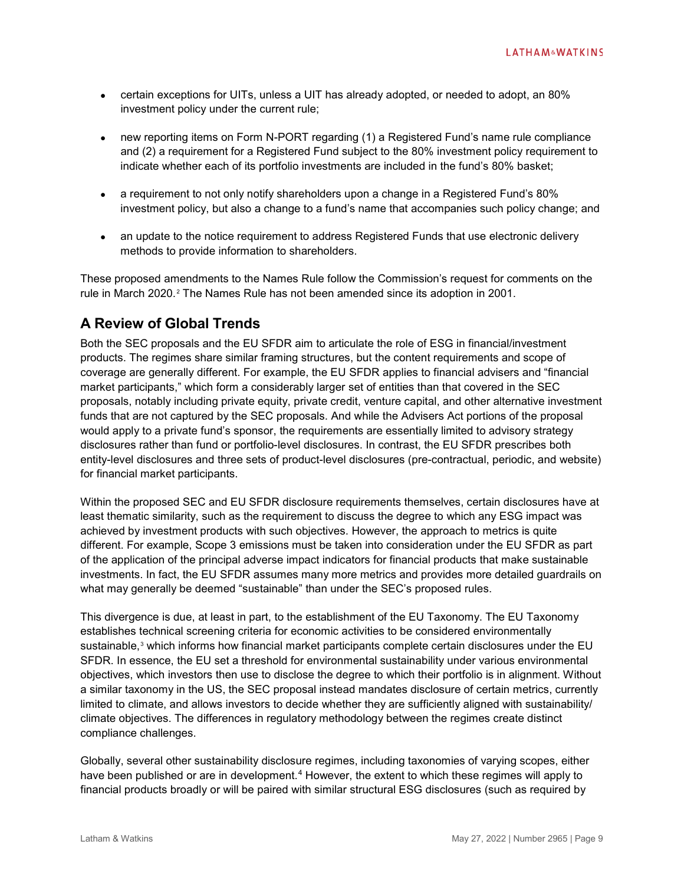- certain exceptions for UITs, unless a UIT has already adopted, or needed to adopt, an 80% investment policy under the current rule;
- new reporting items on Form N-PORT regarding (1) a Registered Fund's name rule compliance and (2) a requirement for a Registered Fund subject to the 80% investment policy requirement to indicate whether each of its portfolio investments are included in the fund's 80% basket;
- a requirement to not only notify shareholders upon a change in a Registered Fund's 80% investment policy, but also a change to a fund's name that accompanies such policy change; and
- an update to the notice requirement to address Registered Funds that use electronic delivery methods to provide information to shareholders.

These proposed amendments to the Names Rule follow the Commission's request for comments on the rule in March [2](#page-12-1)020.<sup>2</sup> The Names Rule has not been amended since its adoption in 2001.

## **A Review of Global Trends**

Both the SEC proposals and the EU SFDR aim to articulate the role of ESG in financial/investment products. The regimes share similar framing structures, but the content requirements and scope of coverage are generally different. For example, the EU SFDR applies to financial advisers and "financial market participants," which form a considerably larger set of entities than that covered in the SEC proposals, notably including private equity, private credit, venture capital, and other alternative investment funds that are not captured by the SEC proposals. And while the Advisers Act portions of the proposal would apply to a private fund's sponsor, the requirements are essentially limited to advisory strategy disclosures rather than fund or portfolio-level disclosures. In contrast, the EU SFDR prescribes both entity-level disclosures and three sets of product-level disclosures (pre-contractual, periodic, and website) for financial market participants.

Within the proposed SEC and EU SFDR disclosure requirements themselves, certain disclosures have at least thematic similarity, such as the requirement to discuss the degree to which any ESG impact was achieved by investment products with such objectives. However, the approach to metrics is quite different. For example, Scope 3 emissions must be taken into consideration under the EU SFDR as part of the application of the principal adverse impact indicators for financial products that make sustainable investments. In fact, the EU SFDR assumes many more metrics and provides more detailed guardrails on what may generally be deemed "sustainable" than under the SEC's proposed rules.

This divergence is due, at least in part, to the establishment of the EU Taxonomy. The EU Taxonomy establishes technical screening criteria for economic activities to be considered environmentally sustainable,<sup>[3](#page-12-2)</sup> which informs how financial market participants complete certain disclosures under the EU SFDR. In essence, the EU set a threshold for environmental sustainability under various environmental objectives, which investors then use to disclose the degree to which their portfolio is in alignment. Without a similar taxonomy in the US, the SEC proposal instead mandates disclosure of certain metrics, currently limited to climate, and allows investors to decide whether they are sufficiently aligned with sustainability/ climate objectives. The differences in regulatory methodology between the regimes create distinct compliance challenges.

Globally, several other sustainability disclosure regimes, including taxonomies of varying scopes, either have been published or are in development.<sup>[4](#page-12-3)</sup> However, the extent to which these regimes will apply to financial products broadly or will be paired with similar structural ESG disclosures (such as required by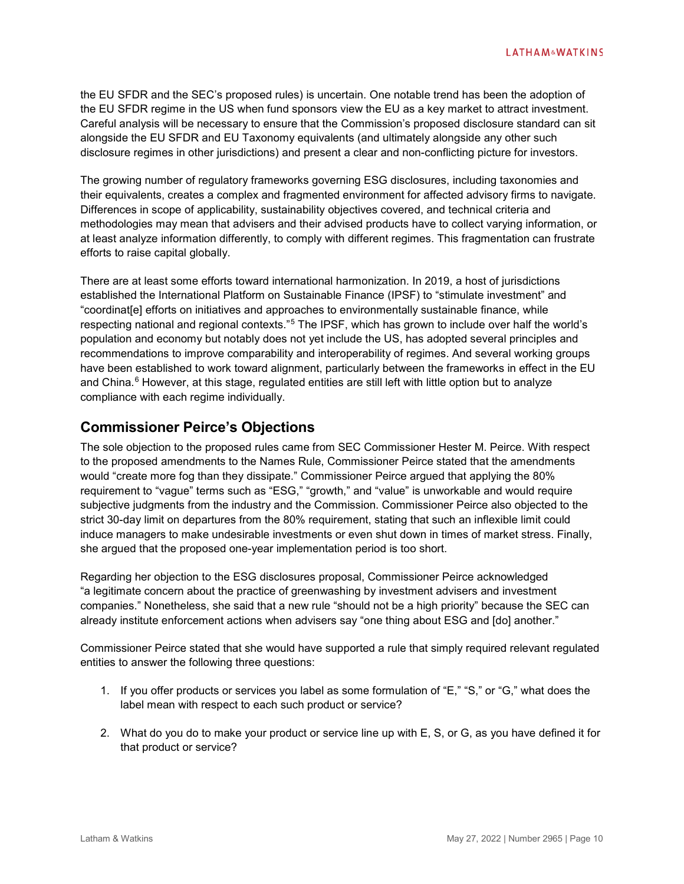the EU SFDR and the SEC's proposed rules) is uncertain. One notable trend has been the adoption of the EU SFDR regime in the US when fund sponsors view the EU as a key market to attract investment. Careful analysis will be necessary to ensure that the Commission's proposed disclosure standard can sit alongside the EU SFDR and EU Taxonomy equivalents (and ultimately alongside any other such disclosure regimes in other jurisdictions) and present a clear and non-conflicting picture for investors.

The growing number of regulatory frameworks governing ESG disclosures, including taxonomies and their equivalents, creates a complex and fragmented environment for affected advisory firms to navigate. Differences in scope of applicability, sustainability objectives covered, and technical criteria and methodologies may mean that advisers and their advised products have to collect varying information, or at least analyze information differently, to comply with different regimes. This fragmentation can frustrate efforts to raise capital globally.

There are at least some efforts toward international harmonization. In 2019, a host of jurisdictions established the International Platform on Sustainable Finance (IPSF) to "stimulate investment" and "coordinat[e] efforts on initiatives and approaches to environmentally sustainable finance, while respecting national and regional contexts."<sup>[5](#page-12-4)</sup> The IPSF, which has grown to include over half the world's population and economy but notably does not yet include the US, has adopted several principles and recommendations to improve comparability and interoperability of regimes. And several working groups have been established to work toward alignment, particularly between the frameworks in effect in the EU and China.<sup>[6](#page-12-5)</sup> However, at this stage, regulated entities are still left with little option but to analyze compliance with each regime individually.

## **Commissioner Peirce's Objections**

The sole objection to the proposed rules came from SEC Commissioner Hester M. Peirce. With respect to the proposed amendments to the Names Rule, Commissioner Peirce stated that the amendments would "create more fog than they dissipate." Commissioner Peirce argued that applying the 80% requirement to "vague" terms such as "ESG," "growth," and "value" is unworkable and would require subjective judgments from the industry and the Commission. Commissioner Peirce also objected to the strict 30-day limit on departures from the 80% requirement, stating that such an inflexible limit could induce managers to make undesirable investments or even shut down in times of market stress. Finally, she argued that the proposed one-year implementation period is too short.

Regarding her objection to the ESG disclosures proposal, Commissioner Peirce acknowledged "a legitimate concern about the practice of greenwashing by investment advisers and investment companies." Nonetheless, she said that a new rule "should not be a high priority" because the SEC can already institute enforcement actions when advisers say "one thing about ESG and [do] another."

Commissioner Peirce stated that she would have supported a rule that simply required relevant regulated entities to answer the following three questions:

- 1. If you offer products or services you label as some formulation of "E," "S," or "G," what does the label mean with respect to each such product or service?
- 2. What do you do to make your product or service line up with E, S, or G, as you have defined it for that product or service?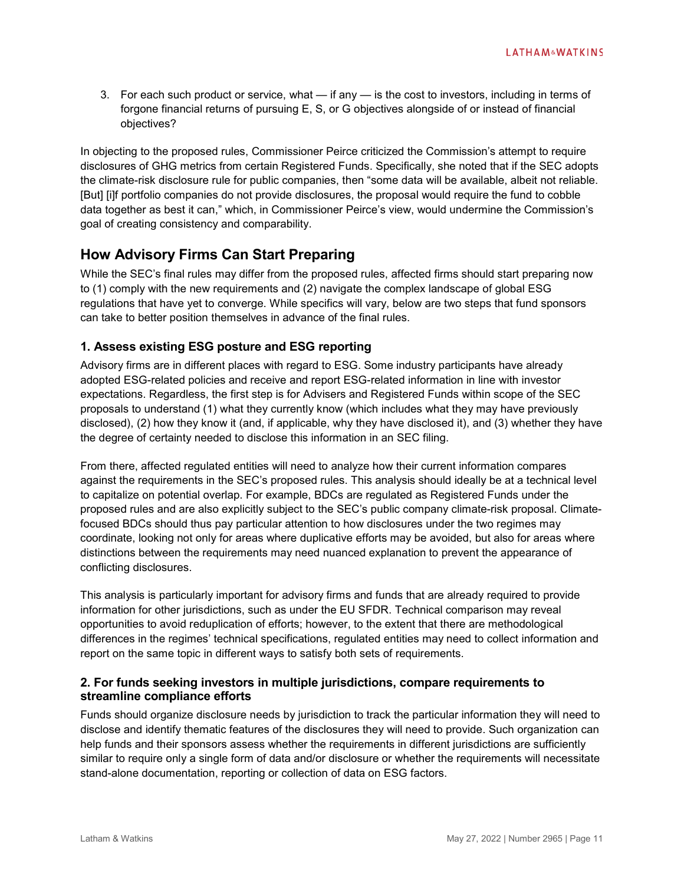3. For each such product or service, what — if any — is the cost to investors, including in terms of forgone financial returns of pursuing E, S, or G objectives alongside of or instead of financial objectives?

In objecting to the proposed rules, Commissioner Peirce criticized the Commission's attempt to require disclosures of GHG metrics from certain Registered Funds. Specifically, she noted that if the SEC adopts the climate-risk disclosure rule for public companies, then "some data will be available, albeit not reliable. [But] [i]f portfolio companies do not provide disclosures, the proposal would require the fund to cobble data together as best it can," which, in Commissioner Peirce's view, would undermine the Commission's goal of creating consistency and comparability.

## **How Advisory Firms Can Start Preparing**

While the SEC's final rules may differ from the proposed rules, affected firms should start preparing now to (1) comply with the new requirements and (2) navigate the complex landscape of global ESG regulations that have yet to converge. While specifics will vary, below are two steps that fund sponsors can take to better position themselves in advance of the final rules.

## **1. Assess existing ESG posture and ESG reporting**

Advisory firms are in different places with regard to ESG. Some industry participants have already adopted ESG-related policies and receive and report ESG-related information in line with investor expectations. Regardless, the first step is for Advisers and Registered Funds within scope of the SEC proposals to understand (1) what they currently know (which includes what they may have previously disclosed), (2) how they know it (and, if applicable, why they have disclosed it), and (3) whether they have the degree of certainty needed to disclose this information in an SEC filing.

From there, affected regulated entities will need to analyze how their current information compares against the requirements in the SEC's proposed rules. This analysis should ideally be at a technical level to capitalize on potential overlap. For example, BDCs are regulated as Registered Funds under the proposed rules and are also explicitly subject to the SEC's public company climate-risk proposal. Climatefocused BDCs should thus pay particular attention to how disclosures under the two regimes may coordinate, looking not only for areas where duplicative efforts may be avoided, but also for areas where distinctions between the requirements may need nuanced explanation to prevent the appearance of conflicting disclosures.

This analysis is particularly important for advisory firms and funds that are already required to provide information for other jurisdictions, such as under the EU SFDR. Technical comparison may reveal opportunities to avoid reduplication of efforts; however, to the extent that there are methodological differences in the regimes' technical specifications, regulated entities may need to collect information and report on the same topic in different ways to satisfy both sets of requirements.

## **2. For funds seeking investors in multiple jurisdictions, compare requirements to streamline compliance efforts**

Funds should organize disclosure needs by jurisdiction to track the particular information they will need to disclose and identify thematic features of the disclosures they will need to provide. Such organization can help funds and their sponsors assess whether the requirements in different jurisdictions are sufficiently similar to require only a single form of data and/or disclosure or whether the requirements will necessitate stand-alone documentation, reporting or collection of data on ESG factors.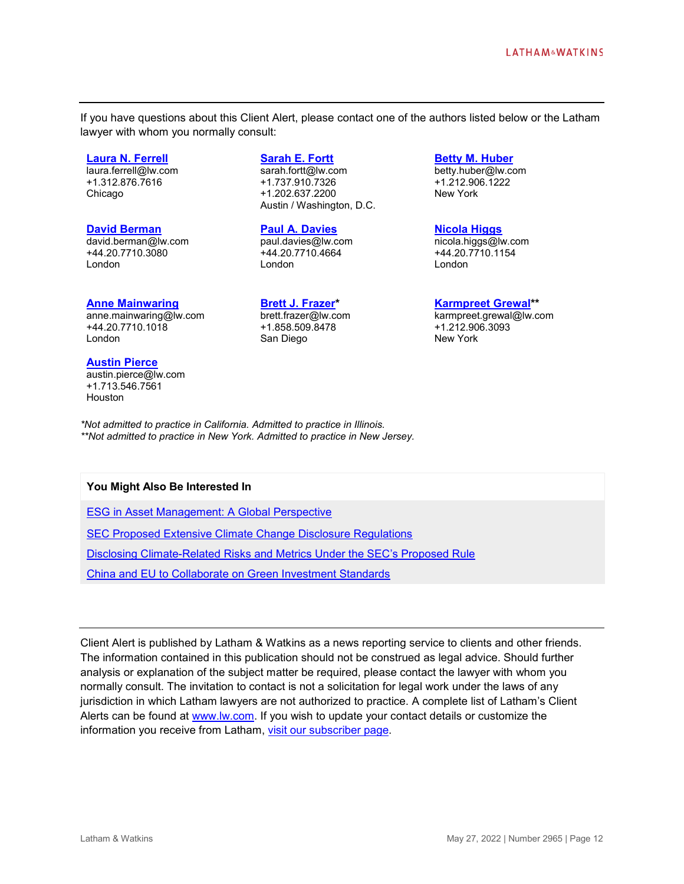If you have questions about this Client Alert, please contact one of the authors listed below or the Latham lawyer with whom you normally consult:

## **[Laura N. Ferrell](https://www.lw.com/people/laura-ferrell)**

laura.ferrell@lw.com +1.312.876.7616 Chicago

#### **[David Berman](https://www.lw.com/people/david-berman)**

david.berman@lw.com +44.20.7710.3080 London

## **[Anne Mainwaring](https://www.lw.com/people/anne-mainwaring)**

anne.mainwaring@lw.com +44.20.7710.1018 London

## **[Austin Pierce](https://www.lw.com/people/austin-pierce)**

austin.pierce@lw.com +1.713.546.7561 **Houston** 

**[Sarah E. Fortt](https://www.lw.com/people/sarah-fortt)**

sarah.fortt@lw.com +1.737.910.7326 +1.202.637.2200 Austin / Washington, D.C.

#### **[Paul A. Davies](https://www.lw.com/people/paul-davies)**

paul.davies@lw.com +44.20.7710.4664 London

## **[Brett J. Frazer\\*](mailto:brett.frazer@lw.com)**

brett.frazer@lw.com +1.858.509.8478 San Diego

#### **[Betty M. Huber](https://www.lw.com/people/betty-huber)**

betty.huber@lw.com +1.212.906.1222 New York

## **[Nicola Higgs](https://www.lw.com/people/nicola-higgs)**

nicola.higgs@lw.com +44.20.7710.1154 London

#### **[Karmpreet Grewal\\*](mailto:karmpreet.grewal@lw.com)\***

karmpreet.grewal@lw.com +1.212.906.3093 New York

*\*Not admitted to practice in California. Admitted to practice in Illinois. \*\*Not admitted to practice in New York. Admitted to practice in New Jersey.* 

## **You Might Also Be Interested In**

[ESG in Asset Management: A Global Perspective](https://www.lw.com/thoughtLeadership/esg-in-asset-management-a-global-perspective)

**[SEC Proposed Extensive Climate Change Disclosure Regulations](https://www.lw.com/thoughtLeadership/sec-proposes-extensive-climate-change-disclosure-regulations)** 

[Disclosing Climate-Related Risks and Metrics Under the SEC's Proposed Rule](https://www.lw.com/thoughtLeadership/Disclosing-Climate-Related-Risks-and-Metrics-Under-the-SEC-Proposed-Rule)

[China and EU to Collaborate on Green Investment Standards](https://www.globalelr.com/2021/04/china-and-eu-to-collaborate-on-green-investment-standards/)

Client Alert is published by Latham & Watkins as a news reporting service to clients and other friends. The information contained in this publication should not be construed as legal advice. Should further analysis or explanation of the subject matter be required, please contact the lawyer with whom you normally consult. The invitation to contact is not a solicitation for legal work under the laws of any jurisdiction in which Latham lawyers are not authorized to practice. A complete list of Latham's Client Alerts can be found at [www.lw.com.](http://www.lw.com/) If you wish to update your contact details or customize the information you receive from Latham, [visit our subscriber page.](https://www.sites.lwcommunicate.com/5/2399/forms-english/subscribe.asp)